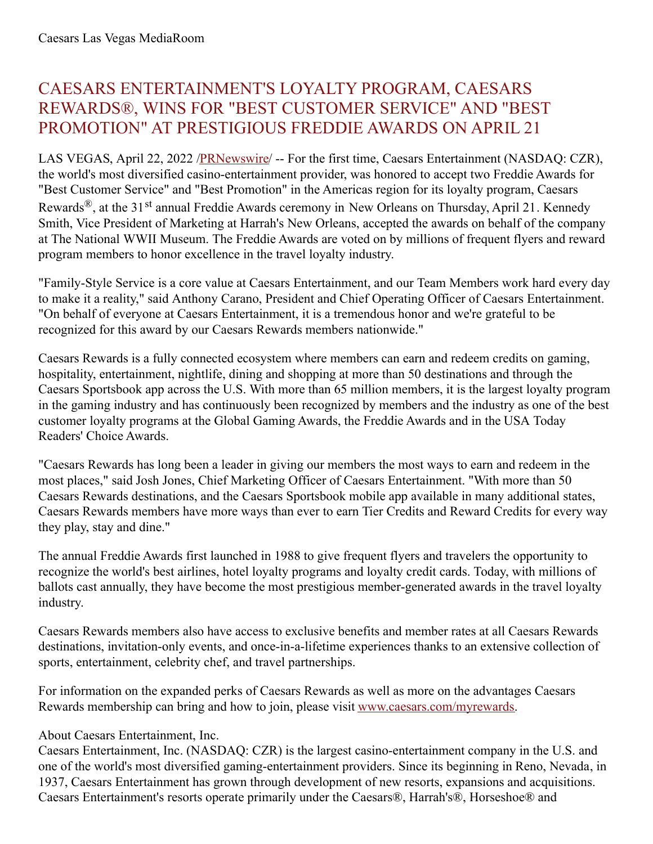## CAESARS ENTERTAINMENT'S LOYALTY PROGRAM, CAESARS REWARDS®, WINS FOR "BEST CUSTOMER SERVICE" AND "BEST PROMOTION" AT PRESTIGIOUS FREDDIE AWARDS ON APRIL 21

LAS VEGAS, April 22, 2022 [/PRNewswire](http://www.prnewswire.com/)/ -- For the first time, Caesars Entertainment (NASDAQ: CZR), the world's most diversified casino-entertainment provider, was honored to accept two Freddie Awards for "Best Customer Service" and "Best Promotion" in the Americas region for its loyalty program, Caesars Rewards<sup>®</sup>, at the 31<sup>st</sup> annual Freddie Awards ceremony in New Orleans on Thursday, April 21. Kennedy Smith, Vice President of Marketing at Harrah's New Orleans, accepted the awards on behalf of the company at The National WWII Museum. The Freddie Awards are voted on by millions of frequent flyers and reward program members to honor excellence in the travel loyalty industry.

"Family-Style Service is a core value at Caesars Entertainment, and our Team Members work hard every day to make it a reality," said Anthony Carano, President and Chief Operating Officer of Caesars Entertainment. "On behalf of everyone at Caesars Entertainment, it is a tremendous honor and we're grateful to be recognized for this award by our Caesars Rewards members nationwide."

Caesars Rewards is a fully connected ecosystem where members can earn and redeem credits on gaming, hospitality, entertainment, nightlife, dining and shopping at more than 50 destinations and through the Caesars Sportsbook app across the U.S. With more than 65 million members, it is the largest loyalty program in the gaming industry and has continuously been recognized by members and the industry as one of the best customer loyalty programs at the Global Gaming Awards, the Freddie Awards and in the USA Today Readers' Choice Awards.

"Caesars Rewards has long been a leader in giving our members the most ways to earn and redeem in the most places," said Josh Jones, Chief Marketing Officer of Caesars Entertainment. "With more than 50 Caesars Rewards destinations, and the Caesars Sportsbook mobile app available in many additional states, Caesars Rewards members have more ways than ever to earn Tier Credits and Reward Credits for every way they play, stay and dine."

The annual Freddie Awards first launched in 1988 to give frequent flyers and travelers the opportunity to recognize the world's best airlines, hotel loyalty programs and loyalty credit cards. Today, with millions of ballots cast annually, they have become the most prestigious member-generated awards in the travel loyalty industry.

Caesars Rewards members also have access to exclusive benefits and member rates at all Caesars Rewards destinations, invitation-only events, and once-in-a-lifetime experiences thanks to an extensive collection of sports, entertainment, celebrity chef, and travel partnerships.

For information on the expanded perks of Caesars Rewards as well as more on the advantages Caesars Rewards membership can bring and how to join, please visit [www.caesars.com/myrewards](https://c212.net/c/link/?t=0&l=en&o=3512881-1&h=1713615906&u=http%3A%2F%2Fwww.caesars.com%2Fmyrewards&a=www.caesars.com%2Fmyrewards).

## About Caesars Entertainment, Inc.

Caesars Entertainment, Inc. (NASDAQ: CZR) is the largest casino-entertainment company in the U.S. and one of the world's most diversified gaming-entertainment providers. Since its beginning in Reno, Nevada, in 1937, Caesars Entertainment has grown through development of new resorts, expansions and acquisitions. Caesars Entertainment's resorts operate primarily under the Caesars®, Harrah's®, Horseshoe® and